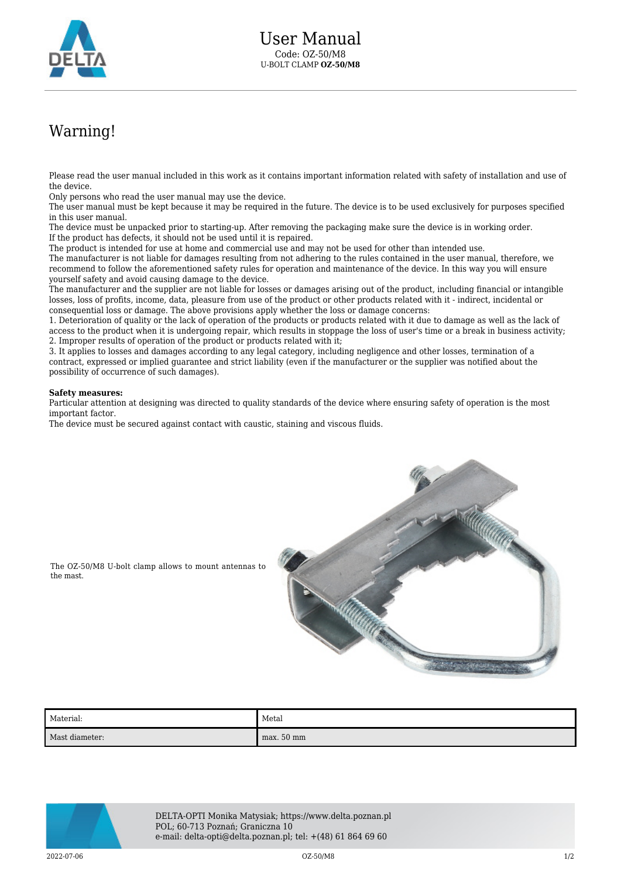

## Warning!

Please read the user manual included in this work as it contains important information related with safety of installation and use of the device.

Only persons who read the user manual may use the device.

The user manual must be kept because it may be required in the future. The device is to be used exclusively for purposes specified in this user manual.

The device must be unpacked prior to starting-up. After removing the packaging make sure the device is in working order. If the product has defects, it should not be used until it is repaired.

The product is intended for use at home and commercial use and may not be used for other than intended use.

The manufacturer is not liable for damages resulting from not adhering to the rules contained in the user manual, therefore, we recommend to follow the aforementioned safety rules for operation and maintenance of the device. In this way you will ensure yourself safety and avoid causing damage to the device.

The manufacturer and the supplier are not liable for losses or damages arising out of the product, including financial or intangible losses, loss of profits, income, data, pleasure from use of the product or other products related with it - indirect, incidental or consequential loss or damage. The above provisions apply whether the loss or damage concerns:

1. Deterioration of quality or the lack of operation of the products or products related with it due to damage as well as the lack of access to the product when it is undergoing repair, which results in stoppage the loss of user's time or a break in business activity; 2. Improper results of operation of the product or products related with it;

3. It applies to losses and damages according to any legal category, including negligence and other losses, termination of a contract, expressed or implied guarantee and strict liability (even if the manufacturer or the supplier was notified about the possibility of occurrence of such damages).

## **Safety measures:**

Particular attention at designing was directed to quality standards of the device where ensuring safety of operation is the most important factor.

The device must be secured against contact with caustic, staining and viscous fluids.



The OZ-50/M8 U-bolt clamp allows to mount antennas to the mast.

| Material:      | Metal        |
|----------------|--------------|
| Mast diameter: | $max. 50$ mm |



DELTA-OPTI Monika Matysiak; https://www.delta.poznan.pl POL; 60-713 Poznań; Graniczna 10 e-mail: delta-opti@delta.poznan.pl; tel: +(48) 61 864 69 60